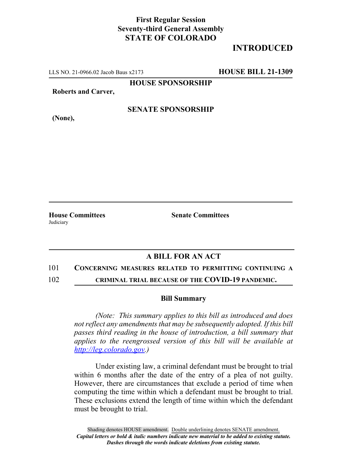## **First Regular Session Seventy-third General Assembly STATE OF COLORADO**

# **INTRODUCED**

LLS NO. 21-0966.02 Jacob Baus x2173 **HOUSE BILL 21-1309**

**HOUSE SPONSORSHIP**

**Roberts and Carver,**

**SENATE SPONSORSHIP**

**(None),**

**Judiciary** 

**House Committees Senate Committees**

## **A BILL FOR AN ACT**

### 101 **CONCERNING MEASURES RELATED TO PERMITTING CONTINUING A**

102 **CRIMINAL TRIAL BECAUSE OF THE COVID-19 PANDEMIC.**

#### **Bill Summary**

*(Note: This summary applies to this bill as introduced and does not reflect any amendments that may be subsequently adopted. If this bill passes third reading in the house of introduction, a bill summary that applies to the reengrossed version of this bill will be available at http://leg.colorado.gov.)*

Under existing law, a criminal defendant must be brought to trial within 6 months after the date of the entry of a plea of not guilty. However, there are circumstances that exclude a period of time when computing the time within which a defendant must be brought to trial. These exclusions extend the length of time within which the defendant must be brought to trial.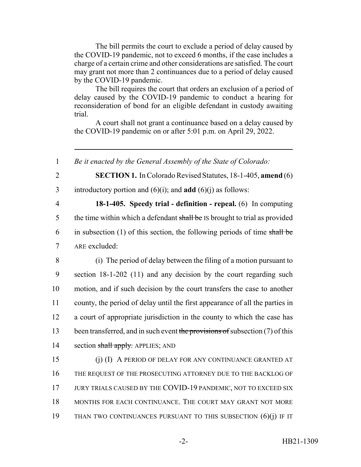The bill permits the court to exclude a period of delay caused by the COVID-19 pandemic, not to exceed 6 months, if the case includes a charge of a certain crime and other considerations are satisfied. The court may grant not more than 2 continuances due to a period of delay caused by the COVID-19 pandemic.

The bill requires the court that orders an exclusion of a period of delay caused by the COVID-19 pandemic to conduct a hearing for reconsideration of bond for an eligible defendant in custody awaiting trial.

A court shall not grant a continuance based on a delay caused by the COVID-19 pandemic on or after 5:01 p.m. on April 29, 2022.

 *Be it enacted by the General Assembly of the State of Colorado:* **SECTION 1.** In Colorado Revised Statutes, 18-1-405, **amend** (6) introductory portion and (6)(i); and **add** (6)(j) as follows: **18-1-405. Speedy trial - definition - repeal.** (6) In computing 5 the time within which a defendant shall be IS brought to trial as provided 6 in subsection (1) of this section, the following periods of time shall be ARE excluded: (i) The period of delay between the filing of a motion pursuant to section 18-1-202 (11) and any decision by the court regarding such motion, and if such decision by the court transfers the case to another county, the period of delay until the first appearance of all the parties in a court of appropriate jurisdiction in the county to which the case has 13 been transferred, and in such event the provisions of subsection  $(7)$  of this 14 section shall apply. APPLIES; AND (j) (I) A PERIOD OF DELAY FOR ANY CONTINUANCE GRANTED AT THE REQUEST OF THE PROSECUTING ATTORNEY DUE TO THE BACKLOG OF 17 JURY TRIALS CAUSED BY THE COVID-19 PANDEMIC, NOT TO EXCEED SIX 18 MONTHS FOR EACH CONTINUANCE. THE COURT MAY GRANT NOT MORE THAN TWO CONTINUANCES PURSUANT TO THIS SUBSECTION (6)(j) IF IT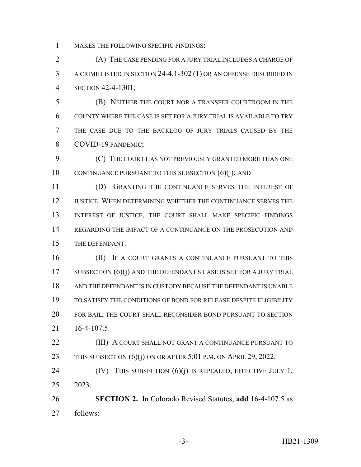MAKES THE FOLLOWING SPECIFIC FINDINGS:

 (A) THE CASE PENDING FOR A JURY TRIAL INCLUDES A CHARGE OF A CRIME LISTED IN SECTION 24-4.1-302 (1) OR AN OFFENSE DESCRIBED IN SECTION 42-4-1301;

 (B) NEITHER THE COURT NOR A TRANSFER COURTROOM IN THE COUNTY WHERE THE CASE IS SET FOR A JURY TRIAL IS AVAILABLE TO TRY THE CASE DUE TO THE BACKLOG OF JURY TRIALS CAUSED BY THE COVID-19 PANDEMIC;

 (C) THE COURT HAS NOT PREVIOUSLY GRANTED MORE THAN ONE 10 CONTINUANCE PURSUANT TO THIS SUBSECTION (6)(j); AND

 (D) GRANTING THE CONTINUANCE SERVES THE INTEREST OF JUSTICE. WHEN DETERMINING WHETHER THE CONTINUANCE SERVES THE 13 INTEREST OF JUSTICE, THE COURT SHALL MAKE SPECIFIC FINDINGS REGARDING THE IMPACT OF A CONTINUANCE ON THE PROSECUTION AND THE DEFENDANT.

**(II)** IF A COURT GRANTS A CONTINUANCE PURSUANT TO THIS 17 SUBSECTION  $(6)(i)$  and the defendant's case is set for a jury trial AND THE DEFENDANT IS IN CUSTODY BECAUSE THE DEFENDANT IS UNABLE TO SATISFY THE CONDITIONS OF BOND FOR RELEASE DESPITE ELIGIBILITY FOR BAIL, THE COURT SHALL RECONSIDER BOND PURSUANT TO SECTION 16-4-107.5.

**(III)** A COURT SHALL NOT GRANT A CONTINUANCE PURSUANT TO 23 THIS SUBSECTION  $(6)(i)$  ON OR AFTER 5:01 P.M. ON APRIL 29, 2022.

24  $(IV)$  THIS SUBSECTION  $(6)(j)$  IS REPEALED, EFFECTIVE JULY 1, 2023.

 **SECTION 2.** In Colorado Revised Statutes, **add** 16-4-107.5 as follows: